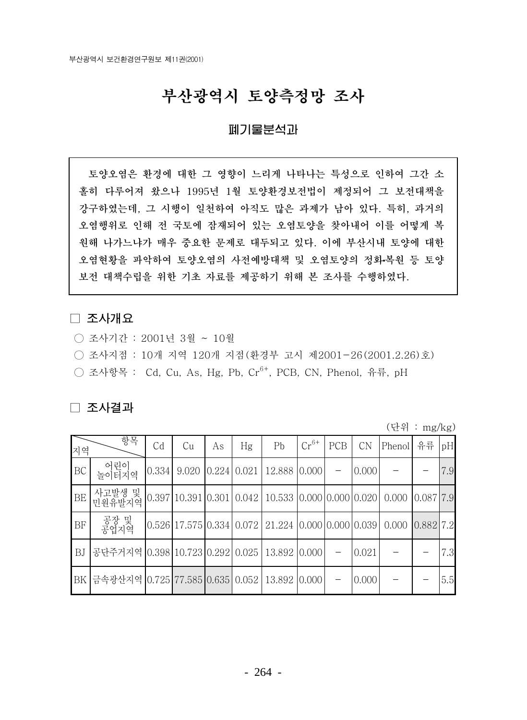## 부산광역시 토양측정망 조사

## 폐기물분석과

토양오염은 환경에 대한 그 영향이 느리게 나타나는 특성으로 인하여 그간 소 홀히 다루어져 왔으나 1995년 1월 토양환경보전법이 제정되어 그 보전대책을 강구하였는데, 그 시행이 일천하여 아직도 많은 과제가 남아 있다. 특히, 과거의 오염행위로 인해 전 국토에 잠재되어 있는 오염토양을 찾아내어 이를 어떻게 복 원해 나가느냐가 매우 중요한 문제로 대두되고 있다. 이에 부산시내 토양에 대한 오염현황을 파악하여 토양오염의 사전예방대책 및 오염토양의 정화복원 등 토양 보전 대책수립을 위한 기초 자료를 제공하기 위해 본 조사를 수행하였다.

## □ 조사개요

- 조사기간 : 2001년 3월 ~ 10월
- 조사지점 : 10개 지역 120개 지점 (환경부 고시 제2001-26(2001.2.26)호)
- 조사항목 : Cd, Cu, As, Hg, Pb, Cr<sup>6+</sup>, PCB, CN, Phenol, 유류, pH

## □ 조사결과

(단위 : mg/kg)

| 지역        | 항목                                                                       | Cd | Cu | As | Hg | P <sub>b</sub>                                                                   | $Cr^{6+}$ | PCB | <b>CN</b> | Phenol | 유류 | pH  |
|-----------|--------------------------------------------------------------------------|----|----|----|----|----------------------------------------------------------------------------------|-----------|-----|-----------|--------|----|-----|
| BC        | 어린이<br>놀이터지역                                                             |    |    |    |    | $\vert 0.334 \vert 9.020 \vert 0.224 \vert 0.021 \vert 12.888 \vert 0.000 \vert$ |           |     | 0.000     |        |    | 7.9 |
| BE        | 사고발생 및 0.397 10.391 0.301 0.042 10.533 0.000 0.000 0.020 0.000 0.087 7.9 |    |    |    |    |                                                                                  |           |     |           |        |    |     |
| BF        | 공장 및<br>공업지역                                                             |    |    |    |    | $[0.526]17.575]0.334]0.072$   21.224 $[0.000]0.000]0.039]0.000$ $[0.882]7.2$     |           |     |           |        |    |     |
| <b>BJ</b> | 공단주거지역 0.398 10.723 0.292 0.025   13.892 0.000                           |    |    |    |    |                                                                                  |           |     | 0.021     |        |    | 7.3 |
|           | BK  금속광산지역  0.725 77.585 0.635  0.052   13.892  0.000                    |    |    |    |    |                                                                                  |           |     | 0.000     |        |    | 5.5 |